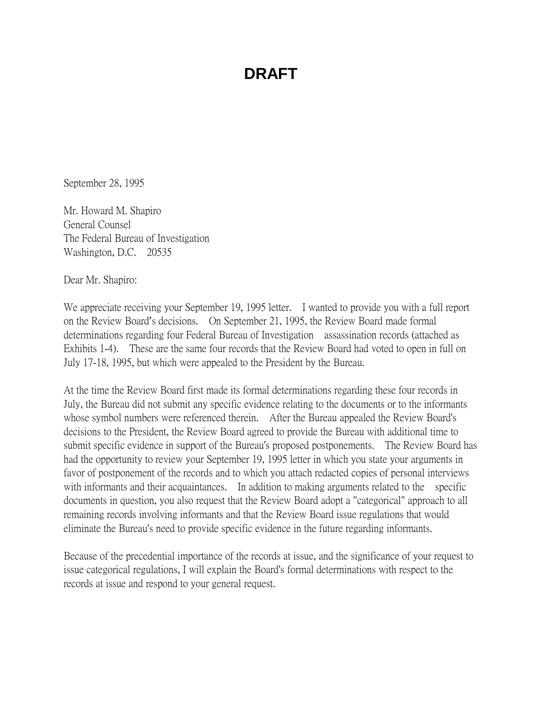September 28, 1995

Mr. Howard M. Shapiro General Counsel The Federal Bureau of Investigation Washington, D.C. 20535

Dear Mr. Shapiro:

We appreciate receiving your September 19, 1995 letter. I wanted to provide you with a full report on the Review Board's decisions. On September 21, 1995, the Review Board made formal determinations regarding four Federal Bureau of Investigation assassination records (attached as Exhibits 1-4). These are the same four records that the Review Board had voted to open in full on July 17-18, 1995, but which were appealed to the President by the Bureau.

At the time the Review Board first made its formal determinations regarding these four records in July, the Bureau did not submit any specific evidence relating to the documents or to the informants whose symbol numbers were referenced therein. After the Bureau appealed the Review Board's decisions to the President, the Review Board agreed to provide the Bureau with additional time to submit specific evidence in support of the Bureau's proposed postponements. The Review Board has had the opportunity to review your September 19, 1995 letter in which you state your arguments in favor of postponement of the records and to which you attach redacted copies of personal interviews with informants and their acquaintances. In addition to making arguments related to the specific documents in question, you also request that the Review Board adopt a "categorical" approach to all remaining records involving informants and that the Review Board issue regulations that would eliminate the Bureau's need to provide specific evidence in the future regarding informants.

Because of the precedential importance of the records at issue, and the significance of your request to issue categorical regulations, I will explain the Board's formal determinations with respect to the records at issue and respond to your general request.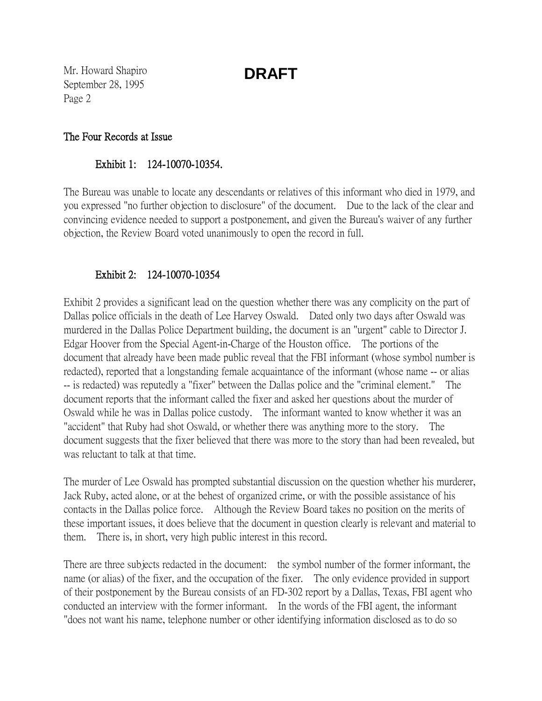Mr. Howard Shapiro September 28, 1995 Page 2

#### The Four Records at Issue

### Exhibit 1: 124-10070-10354.

The Bureau was unable to locate any descendants or relatives of this informant who died in 1979, and you expressed "no further objection to disclosure" of the document. Due to the lack of the clear and convincing evidence needed to support a postponement, and given the Bureau's waiver of any further objection, the Review Board voted unanimously to open the record in full.

### Exhibit 2: 124-10070-10354

Exhibit 2 provides a significant lead on the question whether there was any complicity on the part of Dallas police officials in the death of Lee Harvey Oswald. Dated only two days after Oswald was murdered in the Dallas Police Department building, the document is an "urgent" cable to Director J. Edgar Hoover from the Special Agent-in-Charge of the Houston office. The portions of the document that already have been made public reveal that the FBI informant (whose symbol number is redacted), reported that a longstanding female acquaintance of the informant (whose name -- or alias -- is redacted) was reputedly a "fixer" between the Dallas police and the "criminal element." The document reports that the informant called the fixer and asked her questions about the murder of Oswald while he was in Dallas police custody. The informant wanted to know whether it was an "accident" that Ruby had shot Oswald, or whether there was anything more to the story. The document suggests that the fixer believed that there was more to the story than had been revealed, but was reluctant to talk at that time.

The murder of Lee Oswald has prompted substantial discussion on the question whether his murderer, Jack Ruby, acted alone, or at the behest of organized crime, or with the possible assistance of his contacts in the Dallas police force. Although the Review Board takes no position on the merits of these important issues, it does believe that the document in question clearly is relevant and material to them. There is, in short, very high public interest in this record.

There are three subjects redacted in the document: the symbol number of the former informant, the name (or alias) of the fixer, and the occupation of the fixer. The only evidence provided in support of their postponement by the Bureau consists of an FD-302 report by a Dallas, Texas, FBI agent who conducted an interview with the former informant. In the words of the FBI agent, the informant "does not want his name, telephone number or other identifying information disclosed as to do so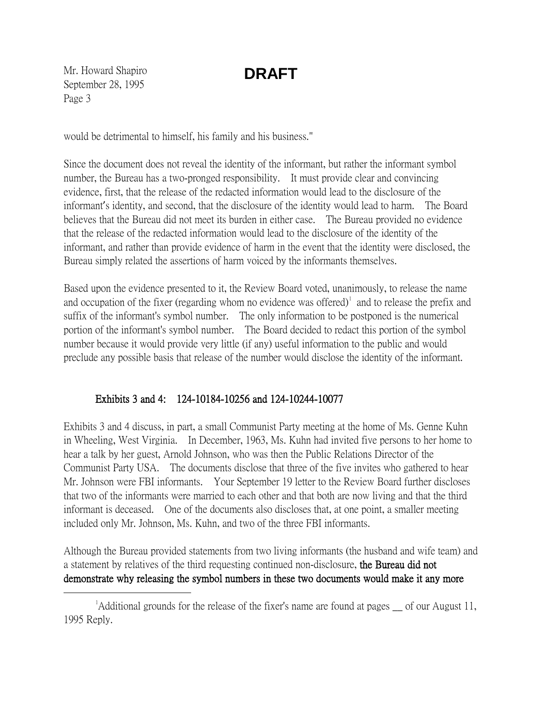Mr. Howard Shapiro September 28, 1995 Page 3

would be detrimental to himself, his family and his business."

Since the document does not reveal the identity of the informant, but rather the informant symbol number, the Bureau has a two-pronged responsibility. It must provide clear and convincing evidence, first, that the release of the redacted information would lead to the disclosure of the informant's identity, and second, that the disclosure of the identity would lead to harm. The Board believes that the Bureau did not meet its burden in either case. The Bureau provided no evidence that the release of the redacted information would lead to the disclosure of the identity of the informant, and rather than provide evidence of harm in the event that the identity were disclosed, the Bureau simply related the assertions of harm voiced by the informants themselves.

Based upon the evidence presented to it, the Review Board voted, unanimously, to release the name and occupation of the fixer (regarding whom no evidence was offered) $\textsuperscript{1}$  $\textsuperscript{1}$  $\textsuperscript{1}$  and to release the prefix and suffix of the informant's symbol number. The only information to be postponed is the numerical portion of the informant's symbol number. The Board decided to redact this portion of the symbol number because it would provide very little (if any) useful information to the public and would preclude any possible basis that release of the number would disclose the identity of the informant.

### Exhibits 3 and 4: 124-10184-10256 and 124-10244-10077

Exhibits 3 and 4 discuss, in part, a small Communist Party meeting at the home of Ms. Genne Kuhn in Wheeling, West Virginia. In December, 1963, Ms. Kuhn had invited five persons to her home to hear a talk by her guest, Arnold Johnson, who was then the Public Relations Director of the Communist Party USA. The documents disclose that three of the five invites who gathered to hear Mr. Johnson were FBI informants. Your September 19 letter to the Review Board further discloses that two of the informants were married to each other and that both are now living and that the third informant is deceased. One of the documents also discloses that, at one point, a smaller meeting included only Mr. Johnson, Ms. Kuhn, and two of the three FBI informants.

Although the Bureau provided statements from two living informants (the husband and wife team) and a statement by relatives of the third requesting continued non-disclosure, the Bureau did not demonstrate why releasing the symbol numbers in these two documents would make it any more

<span id="page-2-0"></span> $\overline{\phantom{a}}$  $^1$ Additional grounds for the release of the fixer's name are found at pages  $\equiv$  of our August 11, 1995 Reply.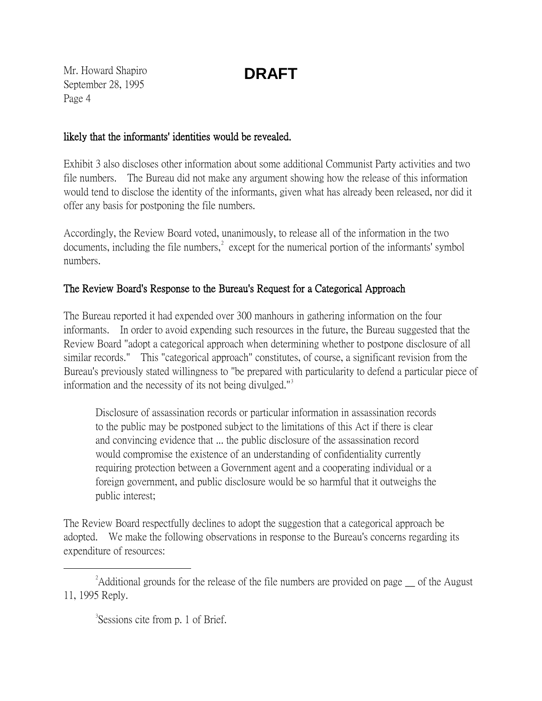Mr. Howard Shapiro September 28, 1995 Page 4

### likely that the informants' identities would be revealed.

Exhibit 3 also discloses other information about some additional Communist Party activities and two file numbers. The Bureau did not make any argument showing how the release of this information would tend to disclose the identity of the informants, given what has already been released, nor did it offer any basis for postponing the file numbers.

Accordingly, the Review Board voted, unanimously, to release all of the information in the two documents, including the file numbers,  $\epsilon^2$  $\epsilon^2$  except for the numerical portion of the informants' symbol numbers.

### The Review Board's Response to the Bureau's Request for a Categorical Approach

The Bureau reported it had expended over 300 manhours in gathering information on the four informants. In order to avoid expending such resources in the future, the Bureau suggested that the Review Board "adopt a categorical approach when determining whether to postpone disclosure of all similar records." This "categorical approach" constitutes, of course, a significant revision from the Bureau's previously stated willingness to "be prepared with particularity to defend a particular piece of information and the necessity of its not being divulged."[3](#page-3-1)

Disclosure of assassination records or particular information in assassination records to the public may be postponed subject to the limitations of this Act if there is clear and convincing evidence that ... the public disclosure of the assassination record would compromise the existence of an understanding of confidentiality currently requiring protection between a Government agent and a cooperating individual or a foreign government, and public disclosure would be so harmful that it outweighs the public interest;

The Review Board respectfully declines to adopt the suggestion that a categorical approach be adopted. We make the following observations in response to the Bureau's concerns regarding its expenditure of resources:

<span id="page-3-1"></span><span id="page-3-0"></span> $\overline{\phantom{a}}$  2 <sup>2</sup>Additional grounds for the release of the file numbers are provided on page of the August 11, 1995 Reply.

<sup>&</sup>lt;sup>3</sup>Sessions cite from p. 1 of Brief.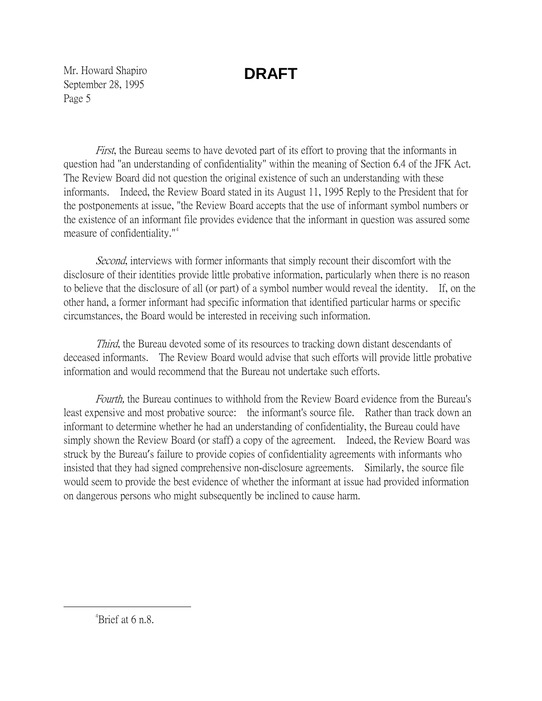Mr. Howard Shapiro September 28, 1995 Page 5

First, the Bureau seems to have devoted part of its effort to proving that the informants in question had "an understanding of confidentiality" within the meaning of Section 6.4 of the JFK Act. The Review Board did not question the original existence of such an understanding with these informants. Indeed, the Review Board stated in its August 11, 1995 Reply to the President that for the postponements at issue, "the Review Board accepts that the use of informant symbol numbers or the existence of an informant file provides evidence that the informant in question was assured some measure of confidentiality."<sup>[4](#page-4-0)</sup>

Second, interviews with former informants that simply recount their discomfort with the disclosure of their identities provide little probative information, particularly when there is no reason to believe that the disclosure of all (or part) of a symbol number would reveal the identity. If, on the other hand, a former informant had specific information that identified particular harms or specific circumstances, the Board would be interested in receiving such information.

*Third*, the Bureau devoted some of its resources to tracking down distant descendants of deceased informants. The Review Board would advise that such efforts will provide little probative information and would recommend that the Bureau not undertake such efforts.

Fourth, the Bureau continues to withhold from the Review Board evidence from the Bureau's least expensive and most probative source: the informant's source file. Rather than track down an informant to determine whether he had an understanding of confidentiality, the Bureau could have simply shown the Review Board (or staff) a copy of the agreement. Indeed, the Review Board was struck by the Bureau's failure to provide copies of confidentiality agreements with informants who insisted that they had signed comprehensive non-disclosure agreements. Similarly, the source file would seem to provide the best evidence of whether the informant at issue had provided information on dangerous persons who might subsequently be inclined to cause harm.

<span id="page-4-0"></span> $\frac{1}{4}$  $A^4$ Brief at 6 n.8.